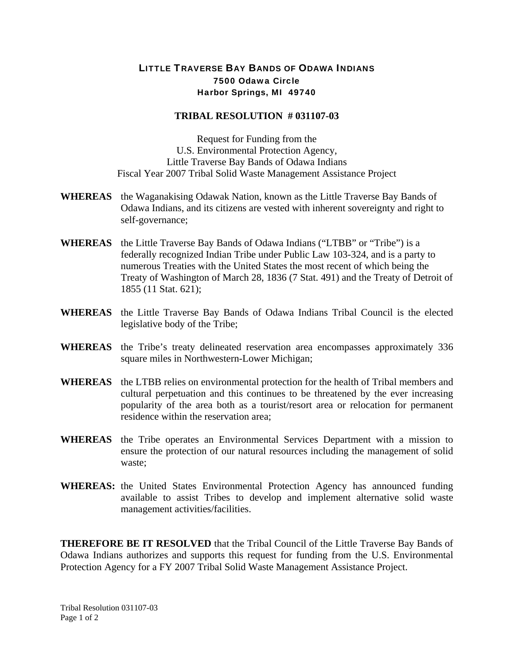## LITTLE TRAVERSE BAY BANDS OF ODAWA INDIANS 7500 Odawa Circle Harbor Springs, MI 49740

## **TRIBAL RESOLUTION # 031107-03**

Request for Funding from the U.S. Environmental Protection Agency, Little Traverse Bay Bands of Odawa Indians Fiscal Year 2007 Tribal Solid Waste Management Assistance Project

- **WHEREAS** the Waganakising Odawak Nation, known as the Little Traverse Bay Bands of Odawa Indians, and its citizens are vested with inherent sovereignty and right to self-governance;
- **WHEREAS** the Little Traverse Bay Bands of Odawa Indians ("LTBB" or "Tribe") is a federally recognized Indian Tribe under Public Law 103-324, and is a party to numerous Treaties with the United States the most recent of which being the Treaty of Washington of March 28, 1836 (7 Stat. 491) and the Treaty of Detroit of 1855 (11 Stat. 621);
- **WHEREAS** the Little Traverse Bay Bands of Odawa Indians Tribal Council is the elected legislative body of the Tribe;
- **WHEREAS** the Tribe's treaty delineated reservation area encompasses approximately 336 square miles in Northwestern-Lower Michigan;
- **WHEREAS** the LTBB relies on environmental protection for the health of Tribal members and cultural perpetuation and this continues to be threatened by the ever increasing popularity of the area both as a tourist/resort area or relocation for permanent residence within the reservation area;
- **WHEREAS** the Tribe operates an Environmental Services Department with a mission to ensure the protection of our natural resources including the management of solid waste;
- **WHEREAS:** the United States Environmental Protection Agency has announced funding available to assist Tribes to develop and implement alternative solid waste management activities/facilities.

**THEREFORE BE IT RESOLVED** that the Tribal Council of the Little Traverse Bay Bands of Odawa Indians authorizes and supports this request for funding from the U.S. Environmental Protection Agency for a FY 2007 Tribal Solid Waste Management Assistance Project.